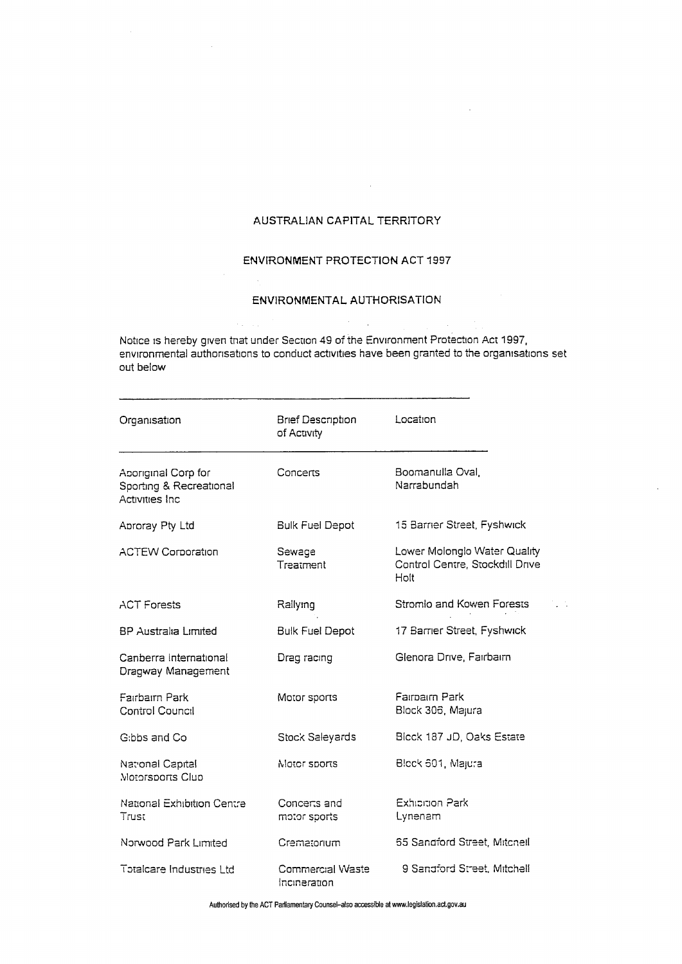## AUSTRALIAN CAPITAL TERRITORY

 $\mathcal{L}$ 

## ENVIRONMENT PROTECTION ACT 1997

## ENVIRONMENTAL AUTHORISATION

Notice is hereby given that under Section 49 of the Environment Protection Act 1997, environmental authorisations to conduct activities have been granted to the organisations set out below

| Organisation                                                             | <b>Brief Description</b><br>of Activity | Location                                                                |
|--------------------------------------------------------------------------|-----------------------------------------|-------------------------------------------------------------------------|
| Aporiginal Corp for<br>Sporting & Recreational<br><b>Activities Inc.</b> | Concerts                                | Boomanulla Oval,<br>Narrabundah                                         |
| Aproray Pty Ltd                                                          | <b>Bulk Fuel Depot</b>                  | 15 Barrier Street, Fyshwick                                             |
| <b>ACTEW Corporation</b>                                                 | Sewage<br>Treatment                     | Lower Molonglo Water Quality<br>Control Centre, Stockdill Drive<br>Holt |
| <b>ACT Forests</b>                                                       | Rallying                                | Stromlo and Kowen Forests                                               |
| BP Australia Limited                                                     | <b>Bulk Fuel Depot</b>                  | 17 Barrier Street, Fyshwick                                             |
| Canberra International<br>Dragway Management                             | Drag racing                             | Glenora Drive, Fairbairn                                                |
| Fairbairn Park<br><b>Control Council</b>                                 | Motor sports                            | Farmarm Park<br>Block 306, Majura                                       |
| G:bbs and Co.                                                            | Stock Saleyards                         | Block 187 JD, Oaks Estate                                               |
| National Capital<br>Motorsports Club                                     | Motor sports                            | Block 601, Majura                                                       |
| National Exhibition Centre<br>Trust                                      | Concerts and<br>motor sports            | Exhibition Park<br>Lynenam                                              |
| Norwood Park Limited                                                     | Crematorium                             | 55 Sandford Street, Mitchell                                            |
| Totalcare Industries I td                                                | Commercial Waste<br>incineration        | 9 Sandford Street, Mitchell                                             |

Authorised by the ACT Parliamentary Counsel-also accessible at www.legislation.act.gov.au